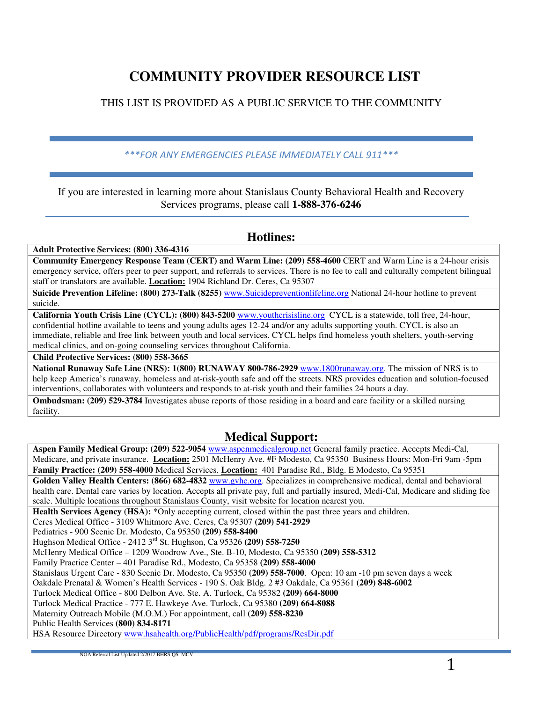# **COMMUNITY PROVIDER RESOURCE LIST**

### THIS LIST IS PROVIDED AS A PUBLIC SERVICE TO THE COMMUNITY

### \*\*\*FOR ANY EMERGENCIES PLEASE IMMEDIATELY CALL 911\*\*\*

If you are interested in learning more about Stanislaus County Behavioral Health and Recovery Services programs, please call **1-888-376-6246** 

### **Hotlines:**

#### **Adult Protective Services: (800) 336-4316**

**Community Emergency Response Team (CERT) and Warm Line: (209) 558-4600** CERT and Warm Line is a 24-hour crisis emergency service, offers peer to peer support, and referrals to services. There is no fee to call and culturally competent bilingual staff or translators are available. **Location:** 1904 Richland Dr. Ceres, Ca 95307

**Suicide Prevention Lifeline: (800) 273-Talk (8255)** www.Suicidepreventionlifeline.org National 24-hour hotline to prevent suicide.

**California Youth Crisis Line (CYCL): (800) 843-5200** www.youthcrisisline.org CYCL is a statewide, toll free, 24-hour, confidential hotline available to teens and young adults ages 12-24 and/or any adults supporting youth. CYCL is also an immediate, reliable and free link between youth and local services. CYCL helps find homeless youth shelters, youth-serving medical clinics, and on-going counseling services throughout California.

**Child Protective Services: (800) 558-3665** 

**National Runaway Safe Line (NRS): 1(800) RUNAWAY 800-786-2929** www.1800runaway.org. The mission of NRS is to help keep America's runaway, homeless and at-risk-youth safe and off the streets. NRS provides education and solution-focused interventions, collaborates with volunteers and responds to at-risk youth and their families 24 hours a day.

**Ombudsman: (209) 529-3784** Investigates abuse reports of those residing in a board and care facility or a skilled nursing facility.

### **Medical Support:**

**Aspen Family Medical Group: (209) 522-9054** www.aspenmedicalgroup.net General family practice. Accepts Medi-Cal, Medicare, and private insurance. **Location:** 2501 McHenry Ave. #F Modesto, Ca 95350 Business Hours: Mon-Fri 9am -5pm **Family Practice: (209) 558-4000** Medical Services. **Location:** 401 Paradise Rd., Bldg. E Modesto, Ca 95351 **Golden Valley Health Centers: (866) 682-4832** www.gvhc.org. Specializes in comprehensive medical, dental and behavioral health care. Dental care varies by location. Accepts all private pay, full and partially insured, Medi-Cal, Medicare and sliding fee scale. Multiple locations throughout Stanislaus County, visit website for location nearest you. **Health Services Agency (HSA):** \*Only accepting current, closed within the past three years and children. Ceres Medical Office - 3109 Whitmore Ave. Ceres, Ca 95307 **(209) 541-2929** Pediatrics - 900 Scenic Dr. Modesto, Ca 95350 **(209) 558-8400** Hughson Medical Office - 2412 3rd St. Hughson, Ca 95326 **(209) 558-7250** McHenry Medical Office – 1209 Woodrow Ave., Ste. B-10, Modesto, Ca 95350 **(209) 558-5312** Family Practice Center – 401 Paradise Rd., Modesto, Ca 95358 **(209) 558-4000** Stanislaus Urgent Care - 830 Scenic Dr. Modesto, Ca 95350 **(209) 558-7000**. Open: 10 am -10 pm seven days a week Oakdale Prenatal & Women's Health Services - 190 S. Oak Bldg. 2 #3 Oakdale, Ca 95361 **(209) 848-6002** Turlock Medical Office - 800 Delbon Ave. Ste. A. Turlock, Ca 95382 **(209) 664-8000** Turlock Medical Practice - 777 E. Hawkeye Ave. Turlock, Ca 95380 **(209) 664-8088** Maternity Outreach Mobile (M.O.M.) For appointment, call **(209) 558-8230** Public Health Services **(800) 834-8171** HSA Resource Directory www.hsahealth.org/PublicHealth/pdf/programs/ResDir.pdf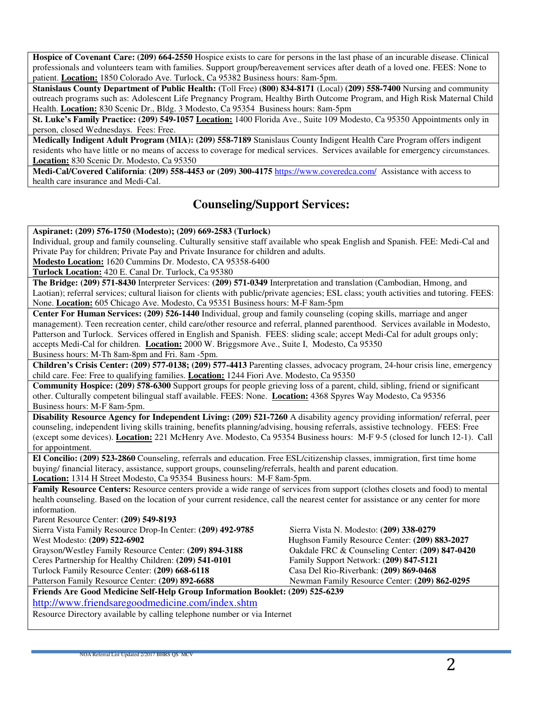**Hospice of Covenant Care: (209) 664-2550** Hospice exists to care for persons in the last phase of an incurable disease. Clinical professionals and volunteers team with families. Support group/bereavement services after death of a loved one. FEES: None to patient. **Location:** 1850 Colorado Ave. Turlock, Ca 95382 Business hours: 8am-5pm.

**Stanislaus County Department of Public Health: (**Toll Free) **(800) 834-8171** (Local) **(209) 558-7400** Nursing and community outreach programs such as: Adolescent Life Pregnancy Program, Healthy Birth Outcome Program, and High Risk Maternal Child Health. **Location:** 830 Scenic Dr., Bldg. 3 Modesto, Ca 95354 Business hours: 8am-5pm

**St. Luke's Family Practice: (209) 549-1057 Location:** 1400 Florida Ave., Suite 109 Modesto, Ca 95350 Appointments only in person, closed Wednesdays. Fees: Free.

**Medically Indigent Adult Program (MIA): (209) 558-7189** Stanislaus County Indigent Health Care Program offers indigent residents who have little or no means of access to coverage for medical services. Services available for emergency circumstances. **Location:** 830 Scenic Dr. Modesto, Ca 95350

**Medi-Cal/Covered California**: **(209) 558-4453 or (209) 300-4175** https://www.coveredca.com/ Assistance with access to health care insurance and Medi-Cal.

# **Counseling/Support Services:**

**Aspiranet: (209) 576-1750 (Modesto); (209) 669-2583 (Turlock)** 

Individual, group and family counseling. Culturally sensitive staff available who speak English and Spanish. FEE: Medi-Cal and Private Pay for children; Private Pay and Private Insurance for children and adults.

**Modesto Location:** 1620 Cummins Dr. Modesto, CA 95358-6400

**Turlock Location:** 420 E. Canal Dr. Turlock, Ca 95380

**The Bridge: (209) 571-8430** Interpreter Services: **(209) 571-0349** Interpretation and translation (Cambodian, Hmong, and Laotian); referral services; cultural liaison for clients with public/private agencies; ESL class; youth activities and tutoring. FEES: None. **Location:** 605 Chicago Ave. Modesto, Ca 95351 Business hours: M-F 8am-5pm

**Center For Human Services: (209) 526-1440** Individual, group and family counseling (coping skills, marriage and anger management). Teen recreation center, child care/other resource and referral, planned parenthood. Services available in Modesto, Patterson and Turlock. Services offered in English and Spanish. FEES: sliding scale; accept Medi-Cal for adult groups only; accepts Medi-Cal for children. **Location:** 2000 W. Briggsmore Ave., Suite I, Modesto, Ca 95350

Business hours: M-Th 8am-8pm and Fri. 8am -5pm.

**Children's Crisis Center: (209) 577-0138; (209) 577-4413** Parenting classes, advocacy program, 24-hour crisis line, emergency child care. Fee: Free to qualifying families. **Location:** 1244 Fiori Ave. Modesto, Ca 95350

**Community Hospice: (209) 578-6300** Support groups for people grieving loss of a parent, child, sibling, friend or significant other. Culturally competent bilingual staff available. FEES: None. **Location:** 4368 Spyres Way Modesto, Ca 95356 Business hours: M-F 8am-5pm.

**Disability Resource Agency for Independent Living: (209) 521-7260** A disability agency providing information/ referral, peer counseling, independent living skills training, benefits planning/advising, housing referrals, assistive technology. FEES: Free (except some devices). **Location:** 221 McHenry Ave. Modesto, Ca 95354 Business hours: M-F 9-5 (closed for lunch 12-1). Call for appointment.

**El Concilio: (209) 523-2860** Counseling, referrals and education. Free ESL/citizenship classes, immigration, first time home buying/ financial literacy, assistance, support groups, counseling/referrals, health and parent education. **Location:** 1314 H Street Modesto, Ca 95354 Business hours: M-F 8am-5pm.

**Family Resource Centers:** Resource centers provide a wide range of services from support (clothes closets and food) to mental health counseling. Based on the location of your current residence, call the nearest center for assistance or any center for more information.

Parent Resource Center: **(209) 549-8193**

Sierra Vista Family Resource Drop-In Center: **(209) 492-9785** Sierra Vista N. Modesto: **(209) 338-0279** West Modesto: **(209) 522-6902** Hughson Family Resource Center: **(209) 883-2027**

Grayson/Westley Family Resource Center: **(209) 894-3188** Oakdale FRC & Counseling Center: **(209) 847-0420**

Ceres Partnership for Healthy Children: **(209) 541-0101** Family Support Network: **(209) 847-5121**

Turlock Family Resource Center: **(209) 668-6118** Casa Del Rio-Riverbank: **(209) 869-0468**

Patterson Family Resource Center: (209) 892-6688 Newman Family Resource Center: (209) 862-0295

**Friends Are Good Medicine Self-Help Group Information Booklet: (209) 525-6239** http://www.friendsaregoodmedicine.com/index.shtm

Resource Directory available by calling telephone number or via Internet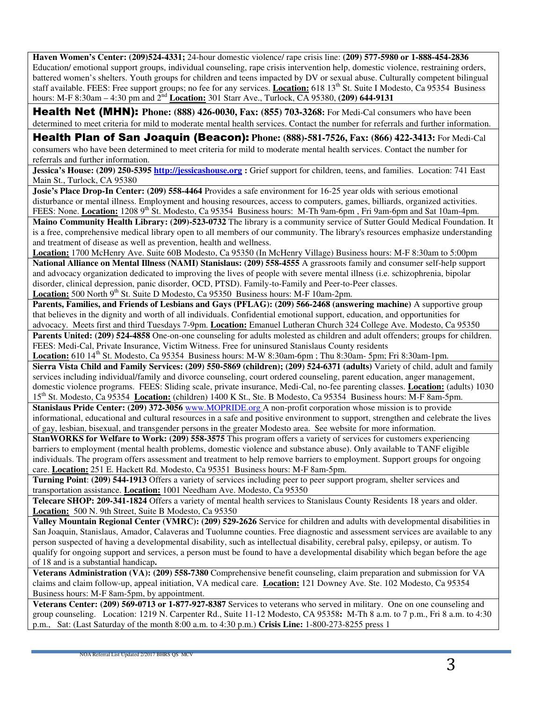**Haven Women's Center: (209)524-4331;** 24-hour domestic violence/ rape crisis line: **(209) 577-5980 or 1-888-454-2836**  Education/ emotional support groups, individual counseling, rape crisis intervention help, domestic violence, restraining orders, battered women's shelters. Youth groups for children and teens impacted by DV or sexual abuse. Culturally competent bilingual staff available. FEES: Free support groups; no fee for any services. **Location:** 618 13<sup>th</sup> St. Suite I Modesto, Ca 95354 Business hours: M-F 8:30am – 4:30 pm and 2<sup>nd</sup> **Location:** 301 Starr Ave., Turlock, CA 95380, **(209) 644-9131** 

Health Net (MHN): **Phone: (888) 426-0030, Fax: (855) 703-3268:** For Medi-Cal consumers who have been determined to meet criteria for mild to moderate mental health services. Contact the number for referrals and further information.

Health Plan of San Joaquin (Beacon): **Phone: (888)-581-7526, Fax: (866) 422-3413:** For Medi-Cal consumers who have been determined to meet criteria for mild to moderate mental health services. Contact the number for referrals and further information.

**Jessica's House: (209) 250-5395 http://jessicashouse.org :** Grief support for children, teens, and families. Location: 741 East Main St., Turlock, CA 95380

**Josie's Place Drop-In Center: (209) 558-4464** Provides a safe environment for 16-25 year olds with serious emotional disturbance or mental illness. Employment and housing resources, access to computers, games, billiards, organized activities. FEES: None. **Location:** 1208 9<sup>th</sup> St. Modesto, Ca 95354 Business hours: M-Th 9am-6pm, Fri 9am-6pm and Sat 10am-4pm.

**Maino Community Health Library: (209)-523-0732** The library is a community service of Sutter Gould Medical Foundation. It is a free, comprehensive medical library open to all members of our community. The library's resources emphasize understanding and treatment of disease as well as prevention, health and wellness.

**Location:** 1700 McHenry Ave. Suite 60B Modesto, Ca 95350 (In McHenry Village) Business hours: M-F 8:30am to 5:00pm **National Alliance on Mental Illness (NAMI) Stanislaus: (209) 558-4555** A grassroots family and consumer self-help support and advocacy organization dedicated to improving the lives of people with severe mental illness (i.e. schizophrenia, bipolar disorder, clinical depression, panic disorder, OCD, PTSD). Family-to-Family and Peer-to-Peer classes.

**Location:** 500 North 9<sup>th</sup> St. Suite D Modesto, Ca 95350 Business hours: M-F 10am-2pm.

**Parents, Families, and Friends of Lesbians and Gays (PFLAG): (209) 566-2468 (answering machine)** A supportive group that believes in the dignity and worth of all individuals. Confidential emotional support, education, and opportunities for advocacy. Meets first and third Tuesdays 7-9pm. **Location:** Emanuel Lutheran Church 324 College Ave. Modesto, Ca 95350

**Parents United: (209) 524-4858** One-on-one counseling for adults molested as children and adult offenders; groups for children. FEES: Medi-Cal, Private Insurance, Victim Witness. Free for uninsured Stanislaus County residents

Location: 610 14<sup>th</sup> St. Modesto, Ca 95354 Business hours: M-W 8:30am-6pm; Thu 8:30am-5pm; Fri 8:30am-1pm.

**Sierra Vista Child and Family Services: (209) 550-5869 (children); (209) 524-6371 (adults)** Variety of child, adult and family services including individual/family and divorce counseling, court ordered counseling, parent education, anger management, domestic violence programs. FEES: Sliding scale, private insurance, Medi-Cal, no-fee parenting classes. **Location:** (adults) 1030 15th St. Modesto, Ca 95354 **Location:** (children) 1400 K St., Ste. B Modesto, Ca 95354 Business hours: M-F 8am-5pm.

**Stanislaus Pride Center: (209) 372-3056** www.MOPRIDE.org A non-profit corporation whose mission is to provide informational, educational and cultural resources in a safe and positive environment to support, strengthen and celebrate the lives of gay, lesbian, bisexual, and transgender persons in the greater Modesto area. See website for more information.

**StanWORKS for Welfare to Work: (209) 558-3575** This program offers a variety of services for customers experiencing barriers to employment (mental health problems, domestic violence and substance abuse). Only available to TANF eligible individuals. The program offers assessment and treatment to help remove barriers to employment. Support groups for ongoing care. **Location:** 251 E. Hackett Rd. Modesto, Ca 95351 Business hours: M-F 8am-5pm.

**Turning Point**: **(209) 544-1913** Offers a variety of services including peer to peer support program, shelter services and transportation assistance. **Location:** 1001 Needham Ave. Modesto, Ca 95350

**Telecare SHOP: 209-341-1824** Offers a variety of mental health services to Stanislaus County Residents 18 years and older. **Location:** 500 N. 9th Street, Suite B Modesto, Ca 95350

**Valley Mountain Regional Center (VMRC): (209) 529-2626** Service for children and adults with developmental disabilities in San Joaquin, Stanislaus, Amador, Calaveras and Tuolumne counties. Free diagnostic and assessment services are available to any person suspected of having a developmental disability, such as intellectual disability, cerebral palsy, epilepsy, or autism. To qualify for ongoing support and services, a person must be found to have a developmental disability which began before the age of 18 and is a substantial handicap**.** 

**Veterans Administration (VA): (209) 558-7380** Comprehensive benefit counseling, claim preparation and submission for VA claims and claim follow-up, appeal initiation, VA medical care. **Location:** 121 Downey Ave. Ste. 102 Modesto, Ca 95354 Business hours: M-F 8am-5pm, by appointment.

**Veterans Center: (209) 569-0713 or 1-877-927-8387** Services to veterans who served in military. One on one counseling and group counseling.Location: 1219 N. Carpenter Rd., Suite 11-12 Modesto, CA 95358**:** M-Th 8 a.m. to 7 p.m., Fri 8 a.m. to 4:30 p.m., Sat: (Last Saturday of the month 8:00 a.m. to 4:30 p.m.) **Crisis Line:** 1-800-273-8255 press 1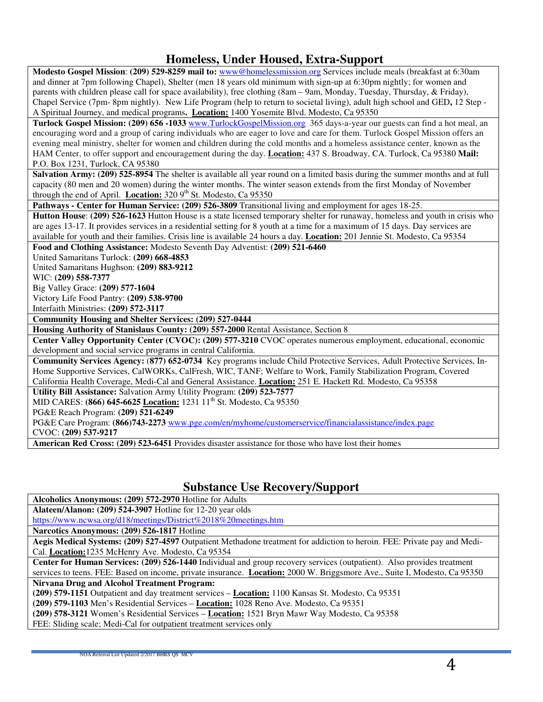## **Homeless, Under Housed, Extra-Support**

**Modesto Gospel Mission**: **(209) 529-8259 mail to:** www@homelessmission.org Services include meals (breakfast at 6:30am and dinner at 7pm following Chapel), Shelter (men 18 years old minimum with sign-up at 6:30pm nightly; for women and parents with children please call for space availability), free clothing (8am – 9am, Monday, Tuesday, Thursday, & Friday), Chapel Service (7pm- 8pm nightly). New Life Program (help to return to societal living), adult high school and GED**,** 12 Step - A Spiritual Journey, and medical programs**. Location:** 1400 Yosemite Blvd. Modesto, Ca 95350

**Turlock Gospel Mission: (209) 656 -1033** www.TurlockGospelMission.org 365 days-a-year our guests can find a hot meal, an encouraging word and a group of caring individuals who are eager to love and care for them. Turlock Gospel Mission offers an evening meal ministry, shelter for women and children during the cold months and a homeless assistance center, known as the HAM Center, to offer support and encouragement during the day. **Location:** 437 S. Broadway, CA. Turlock, Ca 95380 **Mail:** P.O. Box 1231, Turlock, CA 95380

**Salvation Army: (209) 525-8954** The shelter is available all year round on a limited basis during the summer months and at full capacity (80 men and 20 women) during the winter months. The winter season extends from the first Monday of November through the end of April. **Location:**  $320\,9^{th}$  St. Modesto, Ca  $95350$ 

**Pathways - Center for Human Service: (209) 526-3809** Transitional living and employment for ages 18-25.

**Hutton House**: **(209) 526-1623** Hutton House is a state licensed temporary shelter for runaway, homeless and youth in crisis who are ages 13-17. It provides services in a residential setting for 8 youth at a time for a maximum of 15 days. Day services are available for youth and their families. Crisis line is available 24 hours a day. **Location:** 201 Jennie St. Modesto, Ca 95354

**Food and Clothing Assistance:** Modesto Seventh Day Adventist: **(209) 521-6460**

United Samaritans Turlock: **(209) 668-4853**

United Samaritans Hughson: **(209) 883-9212**

WIC: **(209) 558-7377**

Big Valley Grace: **(209) 577-1604**

Victory Life Food Pantry: **(209) 538-9700**

Interfaith Ministries: **(209) 572-3117**

**Community Housing and Shelter Services: (209) 527-0444**

**Housing Authority of Stanislaus County: (209) 557-2000** Rental Assistance, Section 8

**Center Valley Opportunity Center (CVOC): (209) 577-3210** CVOC operates numerous employment, educational, economic development and social service programs in central California.

**Community Services Agency:** (**877) 652-0734** Key programs include Child Protective Services, Adult Protective Services, In-Home Supportive Services, CalWORKs, CalFresh, WIC, TANF; Welfare to Work, Family Stabilization Program, Covered California Health Coverage, Medi-Cal and General Assistance. **Location:** 251 E. Hackett Rd. Modesto, Ca 95358

**Utility Bill Assistance:** Salvation Army Utility Program: **(209) 523-7577**

MID CARES: **(866) 645-6625 Location:** 1231 11th St. Modesto, Ca 95350

PG&E Reach Program: **(209) 521-6249**

PG&E Care Program: **(866)743-2273** www.pge.com/en/myhome/customerservice/financialassistance/index.page

CVOC: **(209) 537-9217** 

**American Red Cross: (209) 523-6451** Provides disaster assistance for those who have lost their homes

### **Substance Use Recovery/Support**

**Alcoholics Anonymous: (209) 572-2970** Hotline for Adults

**Alateen/Alanon: (209) 524-3907** Hotline for 12-20 year olds

https://www.ncwsa.org/d18/meetings/District%2018%20meetings.htm

**Narcotics Anonymous: (209) 526-1817** Hotline

**Aegis Medical Systems: (209) 527-4597** Outpatient Methadone treatment for addiction to heroin. FEE: Private pay and Medi-Cal. **Location:**1235 McHenry Ave. Modesto, Ca 95354

**Center for Human Services: (209) 526-1440** Individual and group recovery services (outpatient). Also provides treatment services to teens. FEE: Based on income, private insurance. **Location:** 2000 W. Briggsmore Ave., Suite I, Modesto, Ca 95350

**Nirvana Drug and Alcohol Treatment Program:** 

**(209) 579-1151** Outpatient and day treatment services – **Location:** 1100 Kansas St. Modesto, Ca 95351

**(209) 579-1103** Men's Residential Services – **Location:** 1028 Reno Ave. Modesto, Ca 95351

**(209) 578-3121** Women's Residential Services – **Location:** 1521 Bryn Mawr Way Modesto, Ca 95358

FEE: Sliding scale; Medi-Cal for outpatient treatment services only